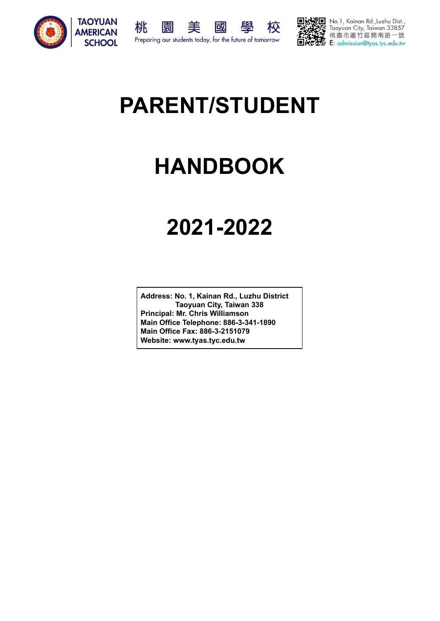





No.1, Kainan Rd.,Luzhu Dist.,<br>Taoyuan City, Taiwan 33857 桃園市蘆竹區開南路一號 E: admission@tyas.tyc.edu.tw

# **PARENT/STUDENT**

# **HANDBOOK**

# **2021-2022**

**Address: No. 1, Kainan Rd., Luzhu District Taoyuan City, Taiwan 338 Principal: Mr. Chris Williamson Main Office Telephone: 886-3-341-1890 Main Office Fax: 886-3-2151079 Website: www.tyas.tyc.edu.tw**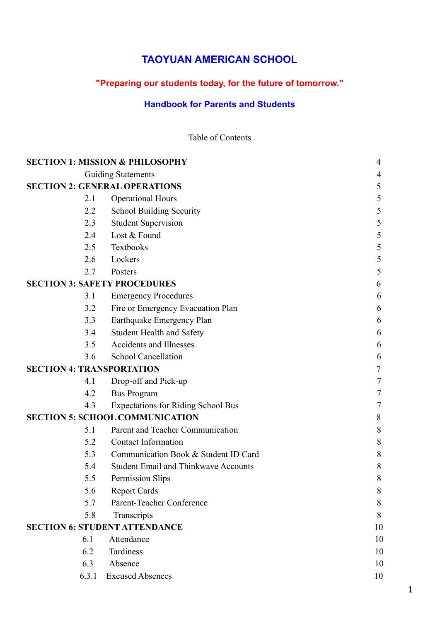# **TAOYUAN AMERICAN SCHOOL**

# **"Preparing our students today, for the future of tomorrow."**

# **Handbook for Parents and Students**

Table of Contents

|                                  | <b>SECTION 1: MISSION &amp; PHILOSOPHY</b>  | 4      |
|----------------------------------|---------------------------------------------|--------|
|                                  | <b>Guiding Statements</b>                   | 4      |
|                                  | <b>SECTION 2: GENERAL OPERATIONS</b>        | 5      |
| 2.1                              | <b>Operational Hours</b>                    | 5      |
| 2.2                              | <b>School Building Security</b>             | 5      |
| 2.3                              | <b>Student Supervision</b>                  | 5      |
| 2.4                              | Lost & Found                                | 5      |
| 2.5                              | Textbooks                                   | 5      |
| 2.6                              | Lockers                                     | 5      |
| 2.7                              | Posters                                     | 5      |
|                                  | <b>SECTION 3: SAFETY PROCEDURES</b>         | 6      |
| 3.1                              | <b>Emergency Procedures</b>                 | 6      |
| 3.2                              | Fire or Emergency Evacuation Plan           | 6      |
| 3.3                              | Earthquake Emergency Plan                   | 6      |
| 3.4                              | <b>Student Health and Safety</b>            | 6      |
| 3.5                              | <b>Accidents and Illnesses</b>              | 6      |
| 3.6                              | <b>School Cancellation</b>                  | 6      |
| <b>SECTION 4: TRANSPORTATION</b> |                                             | 7      |
| 4.1                              | Drop-off and Pick-up                        | 7      |
| 4.2                              | <b>Bus Program</b>                          | 7      |
| 4.3                              | <b>Expectations for Riding School Bus</b>   | $\tau$ |
|                                  | <b>SECTION 5: SCHOOL COMMUNICATION</b>      | 8      |
| 5.1                              | Parent and Teacher Communication            | 8      |
| 5.2                              | <b>Contact Information</b>                  | 8      |
| 5.3                              | Communication Book & Student ID Card        | $8\,$  |
| 5.4                              | <b>Student Email and Thinkwave Accounts</b> | 8      |
| 5.5                              | Permission Slips                            | 8      |
| 5.6                              | <b>Report Cards</b>                         | 8      |
| 5.7                              | Parent-Teacher Conference                   | $8\,$  |
| 5.8                              | Transcripts                                 | 8      |
|                                  | <b>SECTION 6: STUDENT ATTENDANCE</b>        | 10     |
| 6.1                              | Attendance                                  | 10     |
| 6.2                              | Tardiness                                   | 10     |
| 6.3                              | Absence                                     | 10     |
| 6.3.1                            | <b>Excused Absences</b>                     | 10     |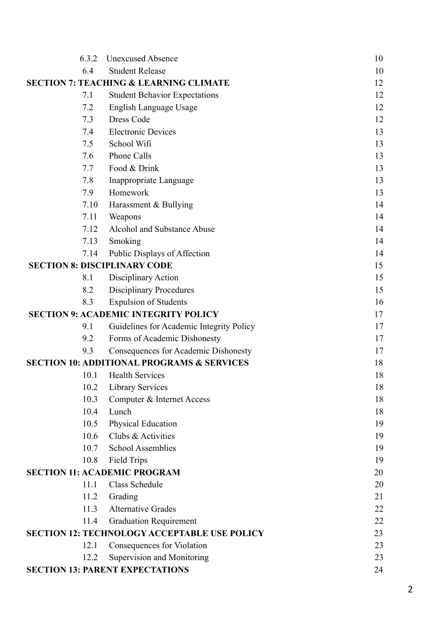| 6.3.2                               | <b>Unexcused Absence</b>                              | 10 |
|-------------------------------------|-------------------------------------------------------|----|
| 6.4                                 | <b>Student Release</b>                                | 10 |
|                                     | <b>SECTION 7: TEACHING &amp; LEARNING CLIMATE</b>     | 12 |
| 7.1                                 | <b>Student Behavior Expectations</b>                  | 12 |
| 7.2                                 | English Language Usage                                | 12 |
| 7.3                                 | Dress Code                                            | 12 |
| 7.4                                 | <b>Electronic Devices</b>                             | 13 |
| 7.5                                 | School Wifi                                           | 13 |
| 7.6                                 | <b>Phone Calls</b>                                    | 13 |
| 7.7                                 | Food & Drink                                          | 13 |
| 7.8                                 | Inappropriate Language                                | 13 |
| 7.9                                 | Homework                                              | 13 |
| 7.10                                | Harassment & Bullying                                 | 14 |
| 7.11                                | Weapons                                               | 14 |
| 7.12                                | Alcohol and Substance Abuse                           | 14 |
| 7.13                                | Smoking                                               | 14 |
| 7.14                                | Public Displays of Affection                          | 14 |
| <b>SECTION 8: DISCIPLINARY CODE</b> |                                                       | 15 |
| 8.1                                 | Disciplinary Action                                   | 15 |
| 8.2                                 | <b>Disciplinary Procedures</b>                        | 15 |
| 8.3                                 | <b>Expulsion of Students</b>                          | 16 |
|                                     | <b>SECTION 9: ACADEMIC INTEGRITY POLICY</b>           | 17 |
| 9.1                                 | Guidelines for Academic Integrity Policy              | 17 |
| 9.2                                 | Forms of Academic Dishonesty                          | 17 |
| 9.3                                 | Consequences for Academic Dishonesty                  | 17 |
|                                     | <b>SECTION 10: ADDITIONAL PROGRAMS &amp; SERVICES</b> | 18 |
| 10.1                                | <b>Health Services</b>                                | 18 |
| 10.2                                | <b>Library Services</b>                               | 18 |
| 10.3                                | Computer & Internet Access                            | 18 |
| 10.4                                | Lunch                                                 | 18 |
| 10.5                                | Physical Education                                    | 19 |
| 10.6                                | Clubs & Activities                                    | 19 |
| 10.7                                | <b>School Assemblies</b>                              | 19 |
| 10.8                                | <b>Field Trips</b>                                    | 19 |
|                                     | <b>SECTION 11: ACADEMIC PROGRAM</b>                   | 20 |
| 11.1                                | Class Schedule                                        | 20 |
| 11.2                                | Grading                                               | 21 |
| 11.3                                | <b>Alternative Grades</b>                             | 22 |
| 11.4                                | <b>Graduation Requirement</b>                         | 22 |
|                                     | <b>SECTION 12: TECHNOLOGY ACCEPTABLE USE POLICY</b>   | 23 |
| 12.1                                | Consequences for Violation                            | 23 |
| 12.2                                | Supervision and Monitoring                            | 23 |
|                                     | <b>SECTION 13: PARENT EXPECTATIONS</b>                | 24 |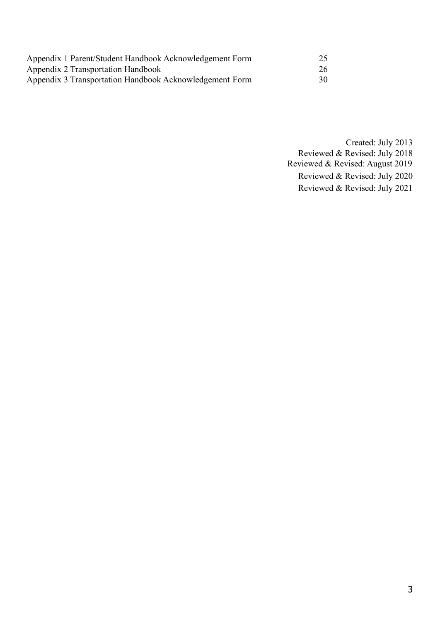| Appendix 1 Parent/Student Handbook Acknowledgement Form |    |
|---------------------------------------------------------|----|
| Appendix 2 Transportation Handbook                      | 26 |
| Appendix 3 Transportation Handbook Acknowledgement Form | 30 |

Created: July 2013 Reviewed & Revised: July 2018 Reviewed & Revised: August 2019 Reviewed & Revised: July 2020 Reviewed & Revised: July 2021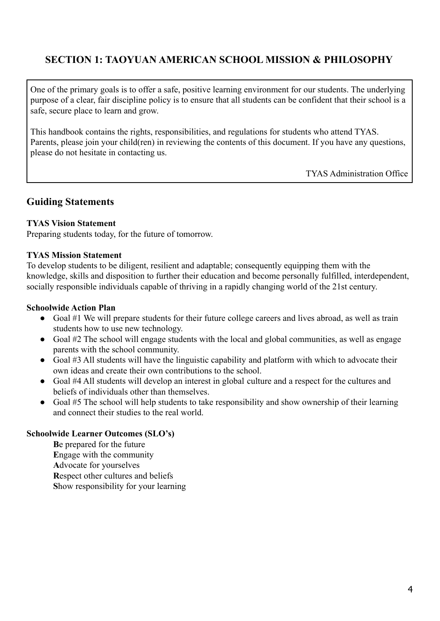# **SECTION 1: TAOYUAN AMERICAN SCHOOL MISSION & PHILOSOPHY**

One of the primary goals is to offer a safe, positive learning environment for our students. The underlying purpose of a clear, fair discipline policy is to ensure that all students can be confident that their school is a safe, secure place to learn and grow.

This handbook contains the rights, responsibilities, and regulations for students who attend TYAS. Parents, please join your child(ren) in reviewing the contents of this document. If you have any questions, please do not hesitate in contacting us.

TYAS Administration Office

#### **Guiding Statements**

#### **TYAS Vision Statement**

Preparing students today, for the future of tomorrow.

#### **TYAS Mission Statement**

To develop students to be diligent, resilient and adaptable; consequently equipping them with the knowledge, skills and disposition to further their education and become personally fulfilled, interdependent, socially responsible individuals capable of thriving in a rapidly changing world of the 21st century.

#### **Schoolwide Action Plan**

- Goal #1 We will prepare students for their future college careers and lives abroad, as well as train students how to use new technology.
- Goal #2 The school will engage students with the local and global communities, as well as engage parents with the school community.
- Goal #3 All students will have the linguistic capability and platform with which to advocate their own ideas and create their own contributions to the school.
- Goal #4 All students will develop an interest in global culture and a respect for the cultures and beliefs of individuals other than themselves.
- Goal #5 The school will help students to take responsibility and show ownership of their learning and connect their studies to the real world.

#### **Schoolwide Learner Outcomes (SLO's)**

**B**e prepared for the future **E**ngage with the community **A**dvocate for yourselves **R**espect other cultures and beliefs **S**how responsibility for your learning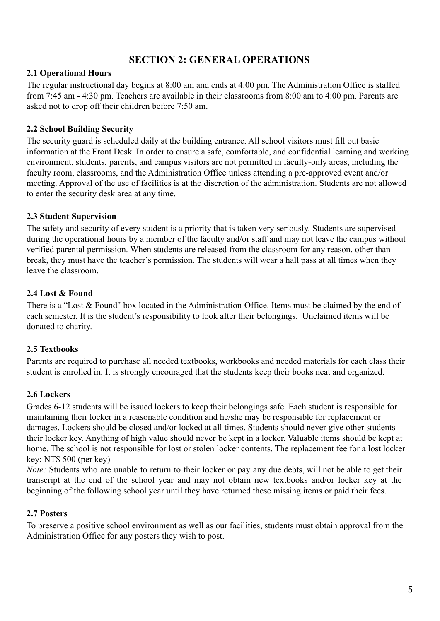### **SECTION 2: GENERAL OPERATIONS**

#### **2.1 Operational Hours**

The regular instructional day begins at 8:00 am and ends at 4:00 pm. The Administration Office is staffed from 7:45 am - 4:30 pm. Teachers are available in their classrooms from 8:00 am to 4:00 pm. Parents are asked not to drop off their children before 7:50 am.

#### **2.2 School Building Security**

The security guard is scheduled daily at the building entrance. All school visitors must fill out basic information at the Front Desk. In order to ensure a safe, comfortable, and confidential learning and working environment, students, parents, and campus visitors are not permitted in faculty-only areas, including the faculty room, classrooms, and the Administration Office unless attending a pre-approved event and/or meeting. Approval of the use of facilities is at the discretion of the administration. Students are not allowed to enter the security desk area at any time.

#### **2.3 Student Supervision**

The safety and security of every student is a priority that is taken very seriously. Students are supervised during the operational hours by a member of the faculty and/or staff and may not leave the campus without verified parental permission. When students are released from the classroom for any reason, other than break, they must have the teacher's permission. The students will wear a hall pass at all times when they leave the classroom.

#### **2.4 Lost & Found**

There is a "Lost & Found" box located in the Administration Office. Items must be claimed by the end of each semester. It is the student's responsibility to look after their belongings. Unclaimed items will be donated to charity.

#### **2.5 Textbooks**

Parents are required to purchase all needed textbooks, workbooks and needed materials for each class their student is enrolled in. It is strongly encouraged that the students keep their books neat and organized.

#### **2.6 Lockers**

Grades 6-12 students will be issued lockers to keep their belongings safe. Each student is responsible for maintaining their locker in a reasonable condition and he/she may be responsible for replacement or damages. Lockers should be closed and/or locked at all times. Students should never give other students their locker key. Anything of high value should never be kept in a locker. Valuable items should be kept at home. The school is not responsible for lost or stolen locker contents. The replacement fee for a lost locker key: NT\$ 500 (per key)

*Note:* Students who are unable to return to their locker or pay any due debts, will not be able to get their transcript at the end of the school year and may not obtain new textbooks and/or locker key at the beginning of the following school year until they have returned these missing items or paid their fees.

#### **2.7 Posters**

To preserve a positive school environment as well as our facilities, students must obtain approval from the Administration Office for any posters they wish to post.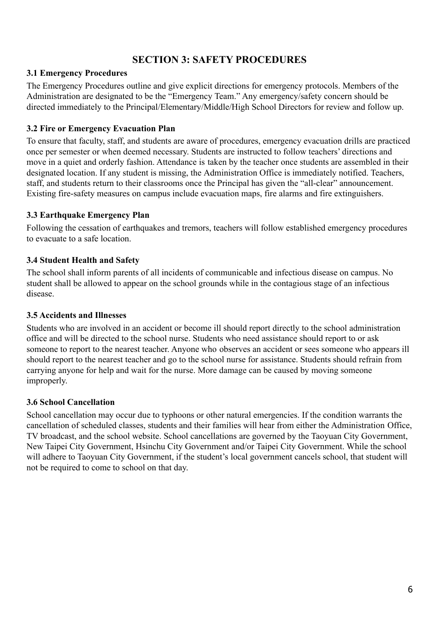# **SECTION 3: SAFETY PROCEDURES**

#### **3.1 Emergency Procedures**

The Emergency Procedures outline and give explicit directions for emergency protocols. Members of the Administration are designated to be the "Emergency Team." Any emergency/safety concern should be directed immediately to the Principal/Elementary/Middle/High School Directors for review and follow up.

#### **3.2 Fire or Emergency Evacuation Plan**

To ensure that faculty, staff, and students are aware of procedures, emergency evacuation drills are practiced once per semester or when deemed necessary. Students are instructed to follow teachers' directions and move in a quiet and orderly fashion. Attendance is taken by the teacher once students are assembled in their designated location. If any student is missing, the Administration Office is immediately notified. Teachers, staff, and students return to their classrooms once the Principal has given the "all-clear" announcement. Existing fire-safety measures on campus include evacuation maps, fire alarms and fire extinguishers.

#### **3.3 Earthquake Emergency Plan**

Following the cessation of earthquakes and tremors, teachers will follow established emergency procedures to evacuate to a safe location.

#### **3.4 Student Health and Safety**

The school shall inform parents of all incidents of communicable and infectious disease on campus. No student shall be allowed to appear on the school grounds while in the contagious stage of an infectious disease.

#### **3.5 Accidents and Illnesses**

Students who are involved in an accident or become ill should report directly to the school administration office and will be directed to the school nurse. Students who need assistance should report to or ask someone to report to the nearest teacher. Anyone who observes an accident or sees someone who appears ill should report to the nearest teacher and go to the school nurse for assistance. Students should refrain from carrying anyone for help and wait for the nurse. More damage can be caused by moving someone improperly.

#### **3.6 School Cancellation**

School cancellation may occur due to typhoons or other natural emergencies. If the condition warrants the cancellation of scheduled classes, students and their families will hear from either the Administration Office, TV broadcast, and the school website. School cancellations are governed by the Taoyuan City Government, New Taipei City Government, Hsinchu City Government and/or Taipei City Government. While the school will adhere to Taoyuan City Government, if the student's local government cancels school, that student will not be required to come to school on that day.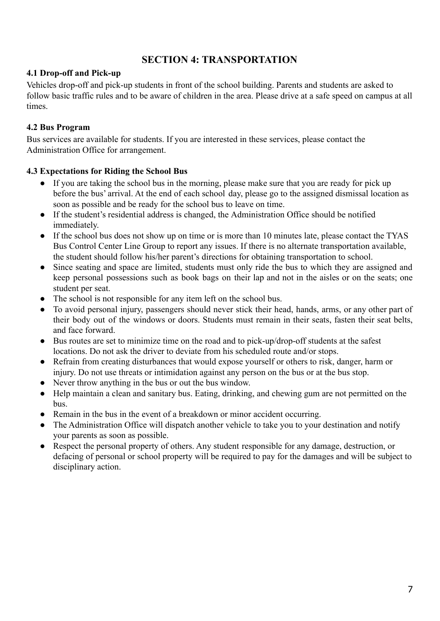# **SECTION 4: TRANSPORTATION**

#### **4.1 Drop-off and Pick-up**

Vehicles drop-off and pick-up students in front of the school building. Parents and students are asked to follow basic traffic rules and to be aware of children in the area. Please drive at a safe speed on campus at all times.

#### **4.2 Bus Program**

Bus services are available for students. If you are interested in these services, please contact the Administration Office for arrangement.

#### **4.3 Expectations for Riding the School Bus**

- If you are taking the school bus in the morning, please make sure that you are ready for pick up before the bus' arrival. At the end of each school day, please go to the assigned dismissal location as soon as possible and be ready for the school bus to leave on time.
- If the student's residential address is changed, the Administration Office should be notified immediately.
- If the school bus does not show up on time or is more than 10 minutes late, please contact the TYAS Bus Control Center Line Group to report any issues. If there is no alternate transportation available, the student should follow his/her parent's directions for obtaining transportation to school.
- Since seating and space are limited, students must only ride the bus to which they are assigned and keep personal possessions such as book bags on their lap and not in the aisles or on the seats; one student per seat.
- The school is not responsible for any item left on the school bus.
- To avoid personal injury, passengers should never stick their head, hands, arms, or any other part of their body out of the windows or doors. Students must remain in their seats, fasten their seat belts, and face forward.
- Bus routes are set to minimize time on the road and to pick-up/drop-off students at the safest locations. Do not ask the driver to deviate from his scheduled route and/or stops.
- Refrain from creating disturbances that would expose yourself or others to risk, danger, harm or injury. Do not use threats or intimidation against any person on the bus or at the bus stop.
- Never throw anything in the bus or out the bus window.
- Help maintain a clean and sanitary bus. Eating, drinking, and chewing gum are not permitted on the bus.
- Remain in the bus in the event of a breakdown or minor accident occurring.
- The Administration Office will dispatch another vehicle to take you to your destination and notify your parents as soon as possible.
- Respect the personal property of others. Any student responsible for any damage, destruction, or defacing of personal or school property will be required to pay for the damages and will be subject to disciplinary action.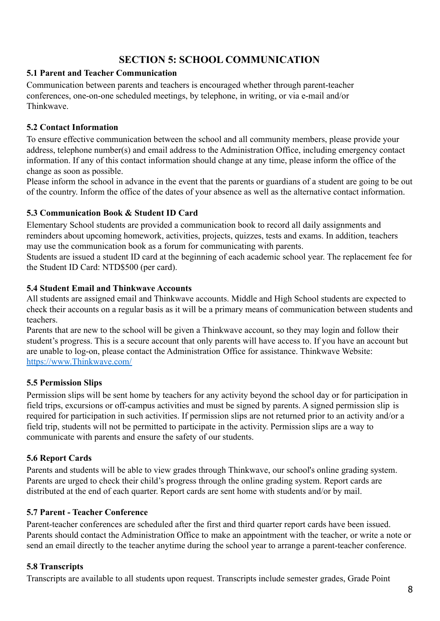# **SECTION 5: SCHOOL COMMUNICATION**

#### **5.1 Parent and Teacher Communication**

Communication between parents and teachers is encouraged whether through parent-teacher conferences, one-on-one scheduled meetings, by telephone, in writing, or via e-mail and/or Thinkwave.

#### **5.2 Contact Information**

To ensure effective communication between the school and all community members, please provide your address, telephone number(s) and email address to the Administration Office, including emergency contact information. If any of this contact information should change at any time, please inform the office of the change as soon as possible.

Please inform the school in advance in the event that the parents or guardians of a student are going to be out of the country. Inform the office of the dates of your absence as well as the alternative contact information.

#### **5.3 Communication Book & Student ID Card**

Elementary School students are provided a communication book to record all daily assignments and reminders about upcoming homework, activities, projects, quizzes, tests and exams. In addition, teachers may use the communication book as a forum for communicating with parents.

Students are issued a student ID card at the beginning of each academic school year. The replacement fee for the Student ID Card: NTD\$500 (per card).

#### **5.4 Student Email and Thinkwave Accounts**

All students are assigned email and Thinkwave accounts. Middle and High School students are expected to check their accounts on a regular basis as it will be a primary means of communication between students and teachers.

Parents that are new to the school will be given a Thinkwave account, so they may login and follow their student's progress. This is a secure account that only parents will have access to. If you have an account but are unable to log-on, please contact the Administration Office for assistance. Thinkwave Website: [https://www.Thinkwave.com/](https://www.engrade.com/)

#### **5.5 Permission Slips**

Permission slips will be sent home by teachers for any activity beyond the school day or for participation in field trips, excursions or off-campus activities and must be signed by parents. A signed permission slip is required for participation in such activities. If permission slips are not returned prior to an activity and/or a field trip, students will not be permitted to participate in the activity. Permission slips are a way to communicate with parents and ensure the safety of our students.

#### **5.6 Report Cards**

Parents and students will be able to view grades through Thinkwave, our school's online grading system. Parents are urged to check their child's progress through the online grading system. Report cards are distributed at the end of each quarter. Report cards are sent home with students and/or by mail.

#### **5.7 Parent - Teacher Conference**

Parent-teacher conferences are scheduled after the first and third quarter report cards have been issued. Parents should contact the Administration Office to make an appointment with the teacher, or write a note or send an email directly to the teacher anytime during the school year to arrange a parent-teacher conference.

#### **5.8 Transcripts**

Transcripts are available to all students upon request. Transcripts include semester grades, Grade Point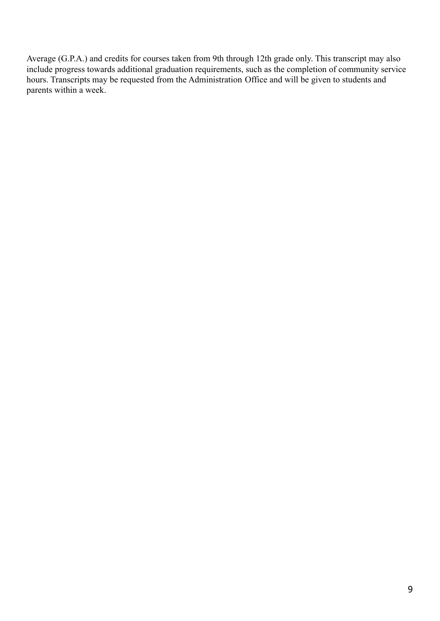Average (G.P.A.) and credits for courses taken from 9th through 12th grade only. This transcript may also include progress towards additional graduation requirements, such as the completion of community service hours. Transcripts may be requested from the Administration Office and will be given to students and parents within a week.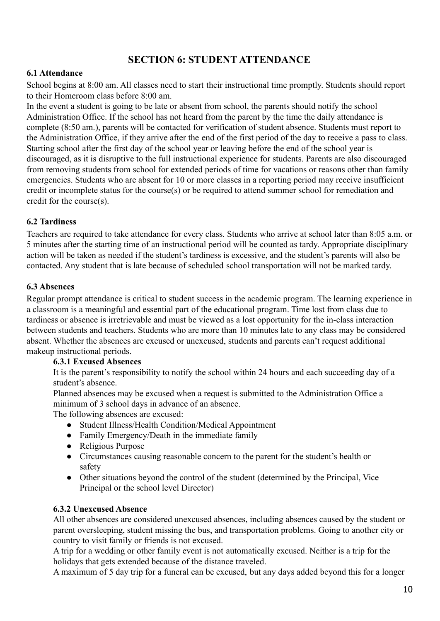# **SECTION 6: STUDENT ATTENDANCE**

#### **6.1 Attendance**

School begins at 8:00 am. All classes need to start their instructional time promptly. Students should report to their Homeroom class before 8:00 am.

In the event a student is going to be late or absent from school, the parents should notify the school Administration Office. If the school has not heard from the parent by the time the daily attendance is complete (8:50 am.), parents will be contacted for verification of student absence. Students must report to the Administration Office, if they arrive after the end of the first period of the day to receive a pass to class. Starting school after the first day of the school year or leaving before the end of the school year is discouraged, as it is disruptive to the full instructional experience for students. Parents are also discouraged from removing students from school for extended periods of time for vacations or reasons other than family emergencies. Students who are absent for 10 or more classes in a reporting period may receive insufficient credit or incomplete status for the course(s) or be required to attend summer school for remediation and credit for the course(s).

#### **6.2 Tardiness**

Teachers are required to take attendance for every class. Students who arrive at school later than 8:05 a.m. or 5 minutes after the starting time of an instructional period will be counted as tardy. Appropriate disciplinary action will be taken as needed if the student's tardiness is excessive, and the student's parents will also be contacted. Any student that is late because of scheduled school transportation will not be marked tardy.

#### **6.3 Absences**

Regular prompt attendance is critical to student success in the academic program. The learning experience in a classroom is a meaningful and essential part of the educational program. Time lost from class due to tardiness or absence is irretrievable and must be viewed as a lost opportunity for the in-class interaction between students and teachers. Students who are more than 10 minutes late to any class may be considered absent. Whether the absences are excused or unexcused, students and parents can't request additional makeup instructional periods.

#### **6.3.1 Excused Absences**

It is the parent's responsibility to notify the school within 24 hours and each succeeding day of a student's absence.

Planned absences may be excused when a request is submitted to the Administration Office a minimum of 3 school days in advance of an absence.

The following absences are excused:

- Student Illness/Health Condition/Medical Appointment
- Family Emergency/Death in the immediate family
- Religious Purpose
- Circumstances causing reasonable concern to the parent for the student's health or safety
- Other situations beyond the control of the student (determined by the Principal, Vice Principal or the school level Director)

#### **6.3.2 Unexcused Absence**

All other absences are considered unexcused absences, including absences caused by the student or parent oversleeping, student missing the bus, and transportation problems. Going to another city or country to visit family or friends is not excused.

A trip for a wedding or other family event is not automatically excused. Neither is a trip for the holidays that gets extended because of the distance traveled.

A maximum of 5 day trip for a funeral can be excused, but any days added beyond this for a longer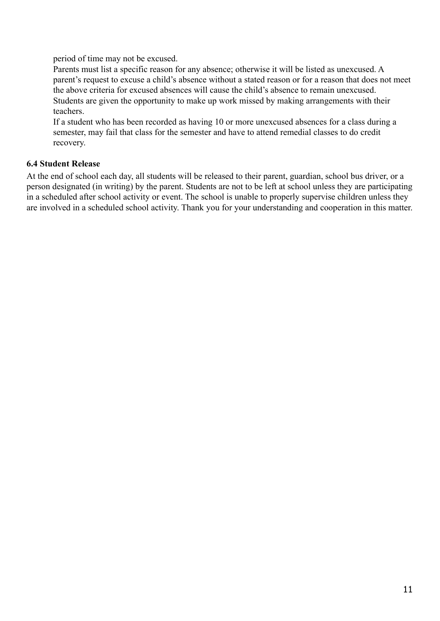period of time may not be excused.

Parents must list a specific reason for any absence; otherwise it will be listed as unexcused. A parent's request to excuse a child's absence without a stated reason or for a reason that does not meet the above criteria for excused absences will cause the child's absence to remain unexcused. Students are given the opportunity to make up work missed by making arrangements with their teachers.

If a student who has been recorded as having 10 or more unexcused absences for a class during a semester, may fail that class for the semester and have to attend remedial classes to do credit recovery.

#### **6.4 Student Release**

At the end of school each day, all students will be released to their parent, guardian, school bus driver, or a person designated (in writing) by the parent. Students are not to be left at school unless they are participating in a scheduled after school activity or event. The school is unable to properly supervise children unless they are involved in a scheduled school activity. Thank you for your understanding and cooperation in this matter.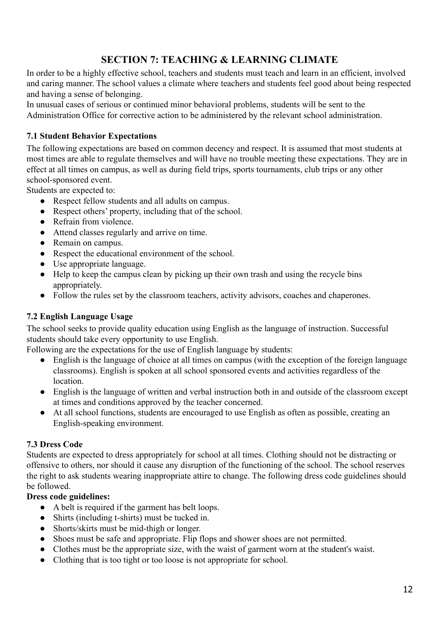# **SECTION 7: TEACHING & LEARNING CLIMATE**

In order to be a highly effective school, teachers and students must teach and learn in an efficient, involved and caring manner. The school values a climate where teachers and students feel good about being respected and having a sense of belonging.

In unusual cases of serious or continued minor behavioral problems, students will be sent to the Administration Office for corrective action to be administered by the relevant school administration.

#### **7.1 Student Behavior Expectations**

The following expectations are based on common decency and respect. It is assumed that most students at most times are able to regulate themselves and will have no trouble meeting these expectations. They are in effect at all times on campus, as well as during field trips, sports tournaments, club trips or any other school-sponsored event.

Students are expected to:

- Respect fellow students and all adults on campus.
- Respect others' property, including that of the school.
- Refrain from violence.
- Attend classes regularly and arrive on time.
- Remain on campus.
- Respect the educational environment of the school.
- Use appropriate language.
- Help to keep the campus clean by picking up their own trash and using the recycle bins appropriately.
- Follow the rules set by the classroom teachers, activity advisors, coaches and chaperones.

#### **7.2 English Language Usage**

The school seeks to provide quality education using English as the language of instruction. Successful students should take every opportunity to use English.

Following are the expectations for the use of English language by students:

- English is the language of choice at all times on campus (with the exception of the foreign language classrooms). English is spoken at all school sponsored events and activities regardless of the location.
- English is the language of written and verbal instruction both in and outside of the classroom except at times and conditions approved by the teacher concerned.
- At all school functions, students are encouraged to use English as often as possible, creating an English-speaking environment.

#### **7.3 Dress Code**

Students are expected to dress appropriately for school at all times. Clothing should not be distracting or offensive to others, nor should it cause any disruption of the functioning of the school. The school reserves the right to ask students wearing inappropriate attire to change. The following dress code guidelines should be followed.

#### **Dress code guidelines:**

- A belt is required if the garment has belt loops.
- Shirts (including t-shirts) must be tucked in.
- Shorts/skirts must be mid-thigh or longer.
- Shoes must be safe and appropriate. Flip flops and shower shoes are not permitted.
- Clothes must be the appropriate size, with the waist of garment worn at the student's waist.
- Clothing that is too tight or too loose is not appropriate for school.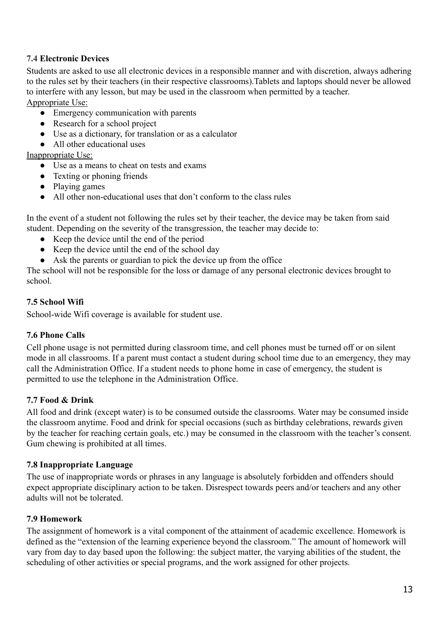#### **7.4 Electronic Devices**

Students are asked to use all electronic devices in a responsible manner and with discretion, always adhering to the rules set by their teachers (in their respective classrooms).Tablets and laptops should never be allowed to interfere with any lesson, but may be used in the classroom when permitted by a teacher. Appropriate Use:

- Emergency communication with parents
- Research for a school project
- Use as a dictionary, for translation or as a calculator
- All other educational uses

#### Inappropriate Use:

- Use as a means to cheat on tests and exams
- Texting or phoning friends
- Playing games
- All other non-educational uses that don't conform to the class rules

In the event of a student not following the rules set by their teacher, the device may be taken from said student. Depending on the severity of the transgression, the teacher may decide to:

- Keep the device until the end of the period
- Keep the device until the end of the school day
- Ask the parents or guardian to pick the device up from the office

The school will not be responsible for the loss or damage of any personal electronic devices brought to school.

#### **7.5 School Wifi**

School-wide Wifi coverage is available for student use.

#### **7.6 Phone Calls**

Cell phone usage is not permitted during classroom time, and cell phones must be turned off or on silent mode in all classrooms. If a parent must contact a student during school time due to an emergency, they may call the Administration Office. If a student needs to phone home in case of emergency, the student is permitted to use the telephone in the Administration Office.

#### **7.7 Food & Drink**

All food and drink (except water) is to be consumed outside the classrooms. Water may be consumed inside the classroom anytime. Food and drink for special occasions (such as birthday celebrations, rewards given by the teacher for reaching certain goals, etc.) may be consumed in the classroom with the teacher's consent. Gum chewing is prohibited at all times.

#### **7.8 Inappropriate Language**

The use of inappropriate words or phrases in any language is absolutely forbidden and offenders should expect appropriate disciplinary action to be taken. Disrespect towards peers and/or teachers and any other adults will not be tolerated.

#### **7.9 Homework**

The assignment of homework is a vital component of the attainment of academic excellence. Homework is defined as the "extension of the learning experience beyond the classroom." The amount of homework will vary from day to day based upon the following: the subject matter, the varying abilities of the student, the scheduling of other activities or special programs, and the work assigned for other projects.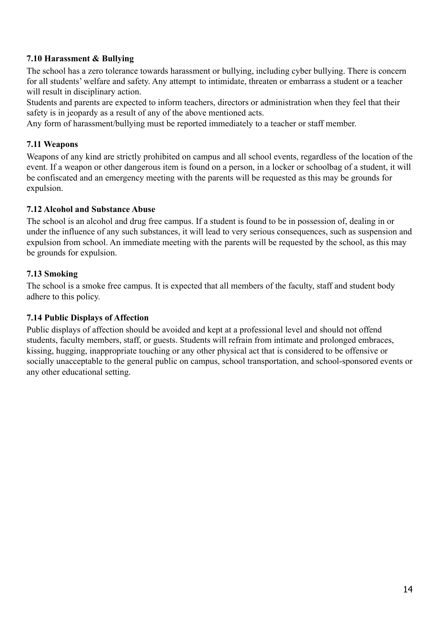#### **7.10 Harassment & Bullying**

The school has a zero tolerance towards harassment or bullying, including cyber bullying. There is concern for all students' welfare and safety. Any attempt to intimidate, threaten or embarrass a student or a teacher will result in disciplinary action.

Students and parents are expected to inform teachers, directors or administration when they feel that their safety is in jeopardy as a result of any of the above mentioned acts.

Any form of harassment/bullying must be reported immediately to a teacher or staff member.

#### **7.11 Weapons**

Weapons of any kind are strictly prohibited on campus and all school events, regardless of the location of the event. If a weapon or other dangerous item is found on a person, in a locker or schoolbag of a student, it will be confiscated and an emergency meeting with the parents will be requested as this may be grounds for expulsion.

#### **7.12 Alcohol and Substance Abuse**

The school is an alcohol and drug free campus. If a student is found to be in possession of, dealing in or under the influence of any such substances, it will lead to very serious consequences, such as suspension and expulsion from school. An immediate meeting with the parents will be requested by the school, as this may be grounds for expulsion.

#### **7.13 Smoking**

The school is a smoke free campus. It is expected that all members of the faculty, staff and student body adhere to this policy.

#### **7.14 Public Displays of Affection**

Public displays of affection should be avoided and kept at a professional level and should not offend students, faculty members, staff, or guests. Students will refrain from intimate and prolonged embraces, kissing, hugging, inappropriate touching or any other physical act that is considered to be offensive or socially unacceptable to the general public on campus, school transportation, and school-sponsored events or any other educational setting.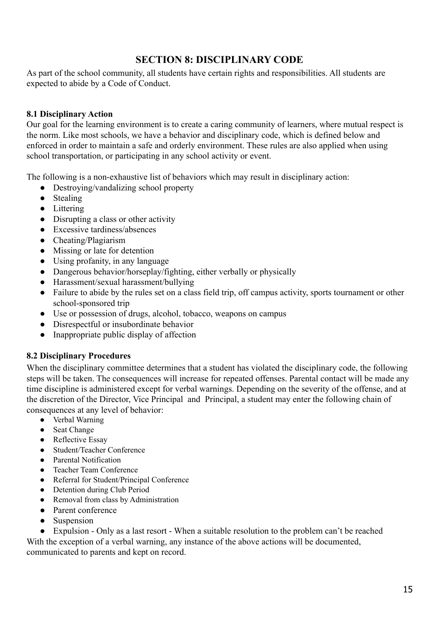# **SECTION 8: DISCIPLINARY CODE**

As part of the school community, all students have certain rights and responsibilities. All students are expected to abide by a Code of Conduct.

#### **8.1 Disciplinary Action**

Our goal for the learning environment is to create a caring community of learners, where mutual respect is the norm. Like most schools, we have a behavior and disciplinary code, which is defined below and enforced in order to maintain a safe and orderly environment. These rules are also applied when using school transportation, or participating in any school activity or event.

The following is a non-exhaustive list of behaviors which may result in disciplinary action:

- Destroying/vandalizing school property
- Stealing
- Littering
- Disrupting a class or other activity
- Excessive tardiness/absences
- Cheating/Plagiarism
- Missing or late for detention
- Using profanity, in any language
- Dangerous behavior/horseplay/fighting, either verbally or physically
- Harassment/sexual harassment/bullying
- Failure to abide by the rules set on a class field trip, off campus activity, sports tournament or other school-sponsored trip
- Use or possession of drugs, alcohol, tobacco, weapons on campus
- Disrespectful or insubordinate behavior
- Inappropriate public display of affection

#### **8.2 Disciplinary Procedures**

When the disciplinary committee determines that a student has violated the disciplinary code, the following steps will be taken. The consequences will increase for repeated offenses. Parental contact will be made any time discipline is administered except for verbal warnings. Depending on the severity of the offense, and at the discretion of the Director, Vice Principal and Principal, a student may enter the following chain of consequences at any level of behavior:

- Verbal Warning
- Seat Change
- Reflective Essay
- Student/Teacher Conference
- Parental Notification
- Teacher Team Conference
- Referral for Student/Principal Conference
- Detention during Club Period
- Removal from class by Administration
- Parent conference
- Suspension

• Expulsion - Only as a last resort - When a suitable resolution to the problem can't be reached With the exception of a verbal warning, any instance of the above actions will be documented, communicated to parents and kept on record.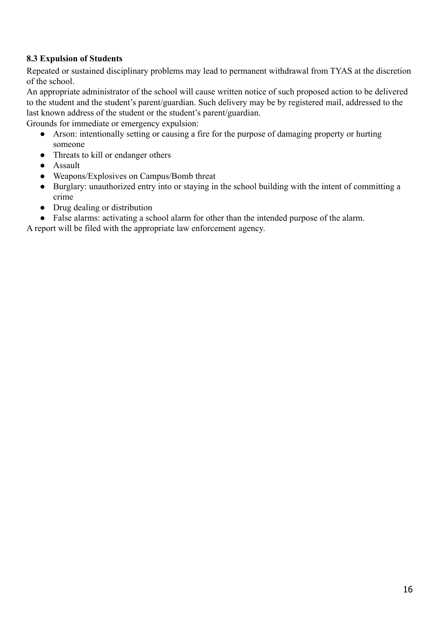#### **8.3 Expulsion of Students**

Repeated or sustained disciplinary problems may lead to permanent withdrawal from TYAS at the discretion of the school.

An appropriate administrator of the school will cause written notice of such proposed action to be delivered to the student and the student's parent/guardian. Such delivery may be by registered mail, addressed to the last known address of the student or the student's parent/guardian.

Grounds for immediate or emergency expulsion:

- Arson: intentionally setting or causing a fire for the purpose of damaging property or hurting someone
- Threats to kill or endanger others
- Assault
- Weapons/Explosives on Campus/Bomb threat
- Burglary: unauthorized entry into or staying in the school building with the intent of committing a crime
- Drug dealing or distribution
- False alarms: activating a school alarm for other than the intended purpose of the alarm.

A report will be filed with the appropriate law enforcement agency.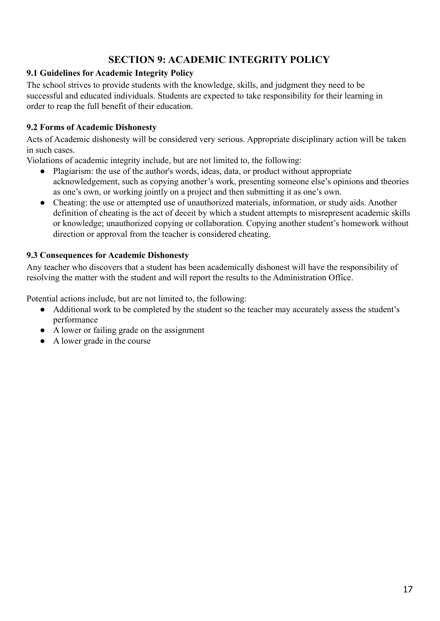# **SECTION 9: ACADEMIC INTEGRITY POLICY**

#### **9.1 Guidelines for Academic Integrity Policy**

The school strives to provide students with the knowledge, skills, and judgment they need to be successful and educated individuals. Students are expected to take responsibility for their learning in order to reap the full benefit of their education.

#### **9.2 Forms of Academic Dishonesty**

Acts of Academic dishonesty will be considered very serious. Appropriate disciplinary action will be taken in such cases.

Violations of academic integrity include, but are not limited to, the following:

- Plagiarism: the use of the author's words, ideas, data, or product without appropriate acknowledgement, such as copying another's work, presenting someone else's opinions and theories as one's own, or working jointly on a project and then submitting it as one's own.
- Cheating: the use or attempted use of unauthorized materials, information, or study aids. Another definition of cheating is the act of deceit by which a student attempts to misrepresent academic skills or knowledge; unauthorized copying or collaboration. Copying another student's homework without direction or approval from the teacher is considered cheating.

#### **9.3 Consequences for Academic Dishonesty**

Any teacher who discovers that a student has been academically dishonest will have the responsibility of resolving the matter with the student and will report the results to the Administration Office.

Potential actions include, but are not limited to, the following:

- Additional work to be completed by the student so the teacher may accurately assess the student's performance
- A lower or failing grade on the assignment
- A lower grade in the course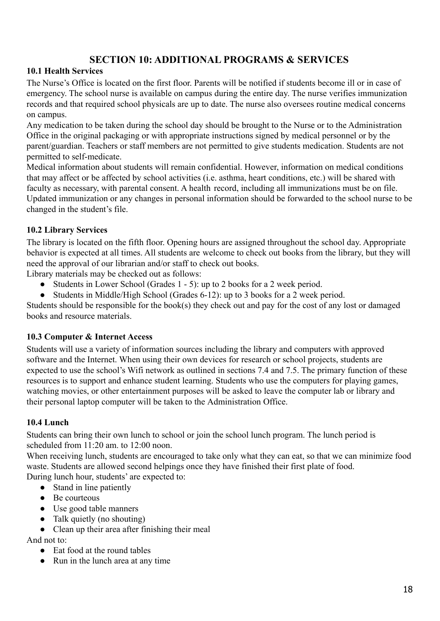# **SECTION 10: ADDITIONAL PROGRAMS & SERVICES**

#### **10.1 Health Services**

The Nurse's Office is located on the first floor. Parents will be notified if students become ill or in case of emergency. The school nurse is available on campus during the entire day. The nurse verifies immunization records and that required school physicals are up to date. The nurse also oversees routine medical concerns on campus.

Any medication to be taken during the school day should be brought to the Nurse or to the Administration Office in the original packaging or with appropriate instructions signed by medical personnel or by the parent/guardian. Teachers or staff members are not permitted to give students medication. Students are not permitted to self-medicate.

Medical information about students will remain confidential. However, information on medical conditions that may affect or be affected by school activities (i.e. asthma, heart conditions, etc.) will be shared with faculty as necessary, with parental consent. A health record, including all immunizations must be on file. Updated immunization or any changes in personal information should be forwarded to the school nurse to be changed in the student's file.

#### **10.2 Library Services**

The library is located on the fifth floor. Opening hours are assigned throughout the school day. Appropriate behavior is expected at all times. All students are welcome to check out books from the library, but they will need the approval of our librarian and/or staff to check out books.

Library materials may be checked out as follows:

- Students in Lower School (Grades 1 5): up to 2 books for a 2 week period.
- Students in Middle/High School (Grades 6-12): up to 3 books for a 2 week period.

Students should be responsible for the book(s) they check out and pay for the cost of any lost or damaged books and resource materials.

#### **10.3 Computer & Internet Access**

Students will use a variety of information sources including the library and computers with approved software and the Internet. When using their own devices for research or school projects, students are expected to use the school's Wifi network as outlined in sections 7.4 and 7.5. The primary function of these resources is to support and enhance student learning. Students who use the computers for playing games, watching movies, or other entertainment purposes will be asked to leave the computer lab or library and their personal laptop computer will be taken to the Administration Office.

#### **10.4 Lunch**

Students can bring their own lunch to school or join the school lunch program. The lunch period is scheduled from 11:20 am. to 12:00 noon.

When receiving lunch, students are encouraged to take only what they can eat, so that we can minimize food waste. Students are allowed second helpings once they have finished their first plate of food. During lunch hour, students' are expected to:

- Stand in line patiently
- Be courteous
- Use good table manners
- Talk quietly (no shouting)
- Clean up their area after finishing their meal

And not to:

- Eat food at the round tables
- Run in the lunch area at any time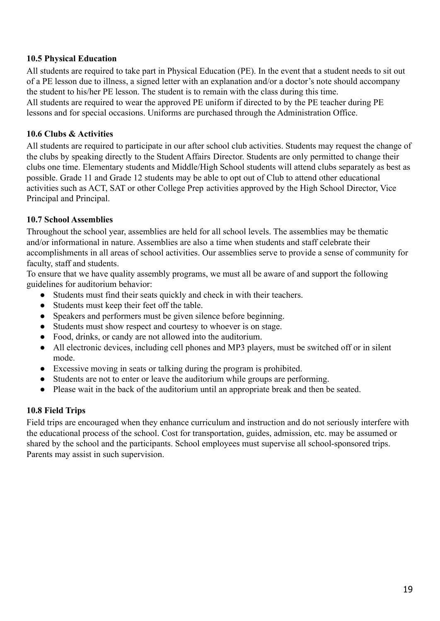#### **10.5 Physical Education**

All students are required to take part in Physical Education (PE). In the event that a student needs to sit out of a PE lesson due to illness, a signed letter with an explanation and/or a doctor's note should accompany the student to his/her PE lesson. The student is to remain with the class during this time. All students are required to wear the approved PE uniform if directed to by the PE teacher during PE lessons and for special occasions. Uniforms are purchased through the Administration Office.

#### **10.6 Clubs & Activities**

All students are required to participate in our after school club activities. Students may request the change of the clubs by speaking directly to the Student Affairs Director. Students are only permitted to change their clubs one time. Elementary students and Middle/High School students will attend clubs separately as best as possible. Grade 11 and Grade 12 students may be able to opt out of Club to attend other educational activities such as ACT, SAT or other College Prep activities approved by the High School Director, Vice Principal and Principal.

#### **10.7 School Assemblies**

Throughout the school year, assemblies are held for all school levels. The assemblies may be thematic and/or informational in nature. Assemblies are also a time when students and staff celebrate their accomplishments in all areas of school activities. Our assemblies serve to provide a sense of community for faculty, staff and students.

To ensure that we have quality assembly programs, we must all be aware of and support the following guidelines for auditorium behavior:

- Students must find their seats quickly and check in with their teachers.
- Students must keep their feet off the table.
- Speakers and performers must be given silence before beginning.
- Students must show respect and courtesy to whoever is on stage.
- Food, drinks, or candy are not allowed into the auditorium.
- All electronic devices, including cell phones and MP3 players, must be switched off or in silent mode.
- Excessive moving in seats or talking during the program is prohibited.
- Students are not to enter or leave the auditorium while groups are performing.
- Please wait in the back of the auditorium until an appropriate break and then be seated.

#### **10.8 Field Trips**

Field trips are encouraged when they enhance curriculum and instruction and do not seriously interfere with the educational process of the school. Cost for transportation, guides, admission, etc. may be assumed or shared by the school and the participants. School employees must supervise all school-sponsored trips. Parents may assist in such supervision.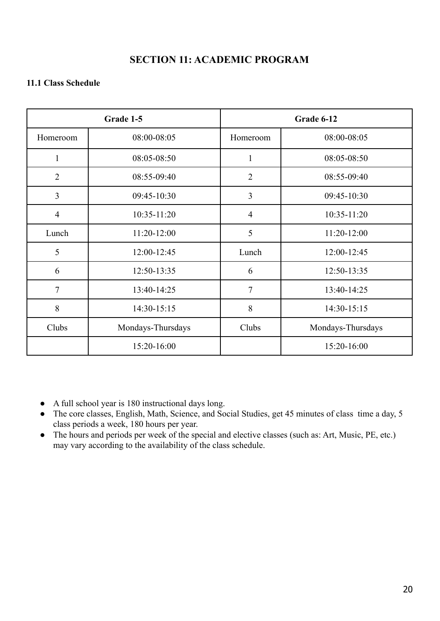# **SECTION 11: ACADEMIC PROGRAM**

#### **11.1 Class Schedule**

|                | Grade 1-5         |                | Grade 6-12        |
|----------------|-------------------|----------------|-------------------|
| Homeroom       | 08:00-08:05       | Homeroom       | 08:00-08:05       |
| 1              | 08:05-08:50       | 1              | 08:05-08:50       |
| $\overline{2}$ | 08:55-09:40       | $\overline{2}$ | 08:55-09:40       |
| $\overline{3}$ | 09:45-10:30       | 3              | 09:45-10:30       |
| $\overline{4}$ | $10:35 - 11:20$   | $\overline{4}$ | $10:35 - 11:20$   |
| Lunch          | $11:20-12:00$     | 5              | $11:20-12:00$     |
| 5              | 12:00-12:45       | Lunch          | 12:00-12:45       |
| 6              | 12:50-13:35       | 6              | 12:50-13:35       |
| $\overline{7}$ | 13:40-14:25       | $\overline{7}$ | 13:40-14:25       |
| 8              | 14:30-15:15       | 8              | 14:30-15:15       |
| Clubs          | Mondays-Thursdays | Clubs          | Mondays-Thursdays |
|                | 15:20-16:00       |                | 15:20-16:00       |

● A full school year is 180 instructional days long.

- The core classes, English, Math, Science, and Social Studies, get 45 minutes of class time a day, 5 class periods a week, 180 hours per year.
- The hours and periods per week of the special and elective classes (such as: Art, Music, PE, etc.) may vary according to the availability of the class schedule.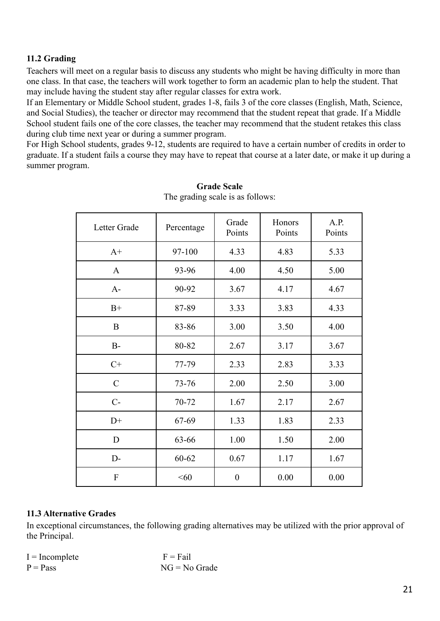#### **11.2 Grading**

Teachers will meet on a regular basis to discuss any students who might be having difficulty in more than one class. In that case, the teachers will work together to form an academic plan to help the student. That may include having the student stay after regular classes for extra work.

If an Elementary or Middle School student, grades 1-8, fails 3 of the core classes (English, Math, Science, and Social Studies), the teacher or director may recommend that the student repeat that grade. If a Middle School student fails one of the core classes, the teacher may recommend that the student retakes this class during club time next year or during a summer program.

For High School students, grades 9-12, students are required to have a certain number of credits in order to graduate. If a student fails a course they may have to repeat that course at a later date, or make it up during a summer program.

| Letter Grade  | Percentage | Grade<br>Points  | Honors<br>Points | A.P.<br>Points |
|---------------|------------|------------------|------------------|----------------|
| $A+$          | 97-100     | 4.33             | 4.83             | 5.33           |
| $\mathbf{A}$  | 93-96      | 4.00             | 4.50             | 5.00           |
| $A -$         | 90-92      | 3.67             | 4.17             | 4.67           |
| $B+$          | 87-89      | 3.33             | 3.83             | 4.33           |
| B             | 83-86      | 3.00             | 3.50             | 4.00           |
| $B-$          | 80-82      | 2.67             | 3.17             | 3.67           |
| $C+$          | 77-79      | 2.33             | 2.83             | 3.33           |
| $\mathcal{C}$ | $73 - 76$  | 2.00             | 2.50             | 3.00           |
| $C -$         | 70-72      | 1.67             | 2.17             | 2.67           |
| $D+$          | 67-69      | 1.33             | 1.83             | 2.33           |
| D             | 63-66      | 1.00             | 1.50             | 2.00           |
| $D-$          | 60-62      | 0.67             | 1.17             | 1.67           |
| F             | < 60       | $\boldsymbol{0}$ | 0.00             | 0.00           |

#### **Grade Scale** The grading scale is as follows:

#### **11.3 Alternative Grades**

In exceptional circumstances, the following grading alternatives may be utilized with the prior approval of the Principal.

| $I = Incomplete$ | $F = Fail$      |
|------------------|-----------------|
| $P = Pass$       | $NG = No$ Grade |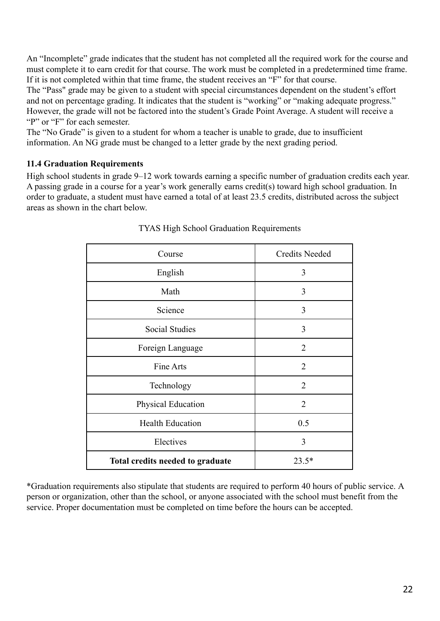An "Incomplete" grade indicates that the student has not completed all the required work for the course and must complete it to earn credit for that course. The work must be completed in a predetermined time frame. If it is not completed within that time frame, the student receives an "F" for that course.

The "Pass" grade may be given to a student with special circumstances dependent on the student's effort and not on percentage grading. It indicates that the student is "working" or "making adequate progress." However, the grade will not be factored into the student's Grade Point Average. A student will receive a "P" or "F" for each semester.

The "No Grade" is given to a student for whom a teacher is unable to grade, due to insufficient information. An NG grade must be changed to a letter grade by the next grading period.

#### **11.4 Graduation Requirements**

High school students in grade 9–12 work towards earning a specific number of graduation credits each year. A passing grade in a course for a year's work generally earns credit(s) toward high school graduation. In order to graduate, a student must have earned a total of at least 23.5 credits, distributed across the subject areas as shown in the chart below.

| Course                           | <b>Credits Needed</b> |
|----------------------------------|-----------------------|
| English                          | 3                     |
| Math                             | 3                     |
| Science                          | 3                     |
| Social Studies                   | 3                     |
| Foreign Language                 | $\overline{2}$        |
| Fine Arts                        | $\overline{2}$        |
| Technology                       | $\overline{2}$        |
| <b>Physical Education</b>        | $\overline{2}$        |
| <b>Health Education</b>          | 0.5                   |
| Electives                        | 3                     |
| Total credits needed to graduate | $23.5*$               |

#### TYAS High School Graduation Requirements

\*Graduation requirements also stipulate that students are required to perform 40 hours of public service. A person or organization, other than the school, or anyone associated with the school must benefit from the service. Proper documentation must be completed on time before the hours can be accepted.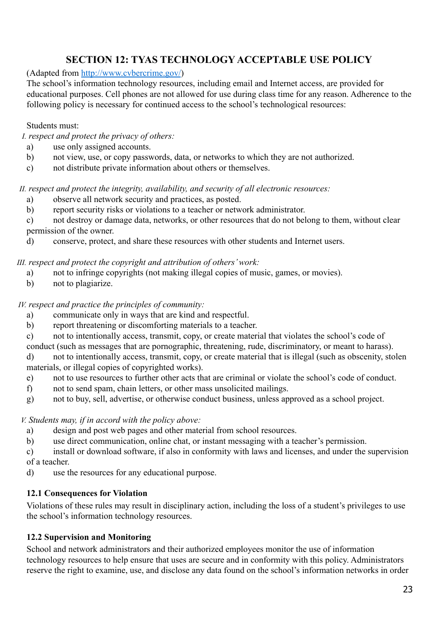# **SECTION 12: TYAS TECHNOLOGY ACCEPTABLE USE POLICY**

(Adapted from <http://www.cvbercrime.gov/>)

The school's information technology resources, including email and Internet access, are provided for educational purposes. Cell phones are not allowed for use during class time for any reason. Adherence to the following policy is necessary for continued access to the school's technological resources:

#### Students must:

*I. respect and protect the privacy of others:*

- a) use only assigned accounts.
- b) not view, use, or copy passwords, data, or networks to which they are not authorized.
- c) not distribute private information about others or themselves.

*II. respect and protect the integrity, availability, and security of all electronic resources:*

- a) observe all network security and practices, as posted.
- b) report security risks or violations to a teacher or network administrator.

c) not destroy or damage data, networks, or other resources that do not belong to them, without clear permission of the owner.

d) conserve, protect, and share these resources with other students and Internet users.

*III. respect and protect the copyright and attribution of others' work:*

- a) not to infringe copyrights (not making illegal copies of music, games, or movies).
- b) not to plagiarize.

#### *IV. respect and practice the principles of community:*

- a) communicate only in ways that are kind and respectful.
- b) report threatening or discomforting materials to a teacher.
- c) not to intentionally access, transmit, copy, or create material that violates the school's code of
- conduct (such as messages that are pornographic, threatening, rude, discriminatory, or meant to harass).
- d) not to intentionally access, transmit, copy, or create material that is illegal (such as obscenity, stolen materials, or illegal copies of copyrighted works).
- e) not to use resources to further other acts that are criminal or violate the school's code of conduct.
- f) not to send spam, chain letters, or other mass unsolicited mailings.
- g) not to buy, sell, advertise, or otherwise conduct business, unless approved as a school project.

#### *V. Students may, if in accord with the policy above:*

- a) design and post web pages and other material from school resources.
- b) use direct communication, online chat, or instant messaging with a teacher's permission.

c) install or download software, if also in conformity with laws and licenses, and under the supervision of a teacher.

d) use the resources for any educational purpose.

#### **12.1 Consequences for Violation**

Violations of these rules may result in disciplinary action, including the loss of a student's privileges to use the school's information technology resources.

#### **12.2 Supervision and Monitoring**

School and network administrators and their authorized employees monitor the use of information technology resources to help ensure that uses are secure and in conformity with this policy. Administrators reserve the right to examine, use, and disclose any data found on the school's information networks in order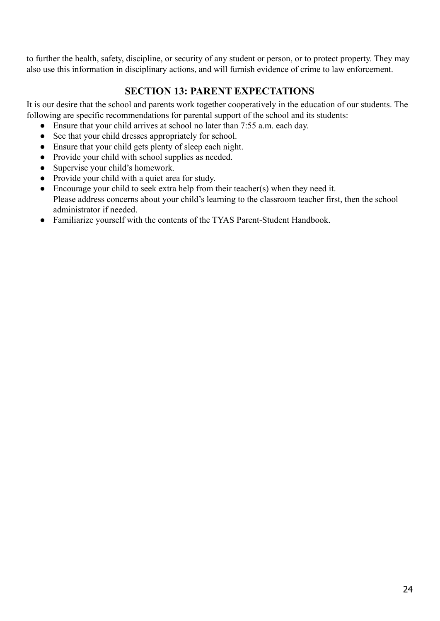to further the health, safety, discipline, or security of any student or person, or to protect property. They may also use this information in disciplinary actions, and will furnish evidence of crime to law enforcement.

# **SECTION 13: PARENT EXPECTATIONS**

It is our desire that the school and parents work together cooperatively in the education of our students. The following are specific recommendations for parental support of the school and its students:

- Ensure that your child arrives at school no later than 7:55 a.m. each day.
- See that your child dresses appropriately for school.
- Ensure that your child gets plenty of sleep each night.
- Provide your child with school supplies as needed.
- Supervise your child's homework.
- Provide your child with a quiet area for study.
- $\bullet$  Encourage your child to seek extra help from their teacher(s) when they need it. Please address concerns about your child's learning to the classroom teacher first, then the school administrator if needed.
- Familiarize yourself with the contents of the TYAS Parent-Student Handbook.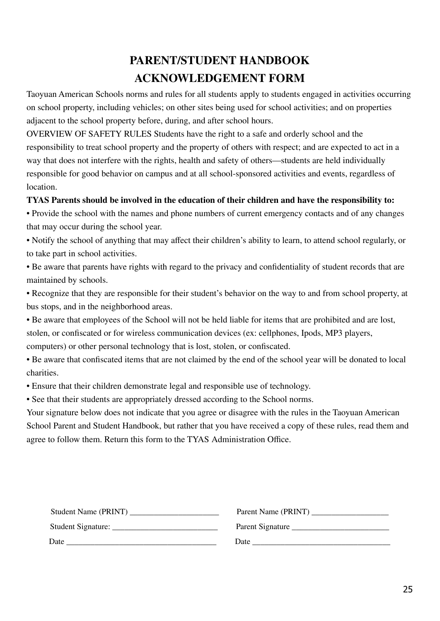# **PARENT/STUDENT HANDBOOK ACKNOWLEDGEMENT FORM**

Taoyuan American Schools norms and rules for all students apply to students engaged in activities occurring on school property, including vehicles; on other sites being used for school activities; and on properties adjacent to the school property before, during, and after school hours.

OVERVIEW OF SAFETY RULES Students have the right to a safe and orderly school and the responsibility to treat school property and the property of others with respect; and are expected to act in a way that does not interfere with the rights, health and safety of others—students are held individually responsible for good behavior on campus and at all school-sponsored activities and events, regardless of **location** 

#### **TYAS Parents should be involved in the education of their children and have the responsibility to:**

• Provide the school with the names and phone numbers of current emergency contacts and of any changes that may occur during the school year.

• Notify the school of anything that may affect their children's ability to learn, to attend school regularly, or to take part in school activities.

• Be aware that parents have rights with regard to the privacy and confidentiality of student records that are maintained by schools.

• Recognize that they are responsible for their student's behavior on the way to and from school property, at bus stops, and in the neighborhood areas.

• Be aware that employees of the School will not be held liable for items that are prohibited and are lost, stolen, or confiscated or for wireless communication devices (ex: cellphones, Ipods, MP3 players, computers) or other personal technology that is lost, stolen, or confiscated.

• Be aware that confiscated items that are not claimed by the end of the school year will be donated to local charities.

• Ensure that their children demonstrate legal and responsible use of technology.

• See that their students are appropriately dressed according to the School norms.

Your signature below does not indicate that you agree or disagree with the rules in the Taoyuan American School Parent and Student Handbook, but rather that you have received a copy of these rules, read them and agree to follow them. Return this form to the TYAS Administration Office.

| Student Name (PRINT) | Parent Name (PRINT) |
|----------------------|---------------------|
|                      | Parent Signature    |
| Date                 | Date                |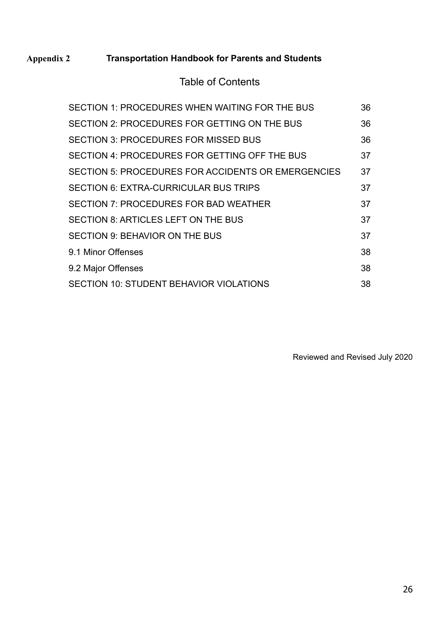# **Appendix 2 Transportation Handbook for Parents and Students**

# Table of Contents

| SECTION 1: PROCEDURES WHEN WAITING FOR THE BUS     | 36 |
|----------------------------------------------------|----|
| SECTION 2: PROCEDURES FOR GETTING ON THE BUS       | 36 |
| <b>SECTION 3: PROCEDURES FOR MISSED BUS</b>        | 36 |
| SECTION 4: PROCEDURES FOR GETTING OFF THE BUS      | 37 |
| SECTION 5: PROCEDURES FOR ACCIDENTS OR EMERGENCIES | 37 |
| SECTION 6: EXTRA-CURRICULAR BUS TRIPS              | 37 |
| SECTION 7: PROCEDURES FOR BAD WEATHER              | 37 |
| SECTION 8: ARTICLES LEFT ON THE BUS                | 37 |
| SECTION 9: BEHAVIOR ON THE BUS                     | 37 |
| 9.1 Minor Offenses                                 | 38 |
| 9.2 Major Offenses                                 | 38 |
| SECTION 10: STUDENT BEHAVIOR VIOLATIONS            | 38 |

Reviewed and Revised July 2020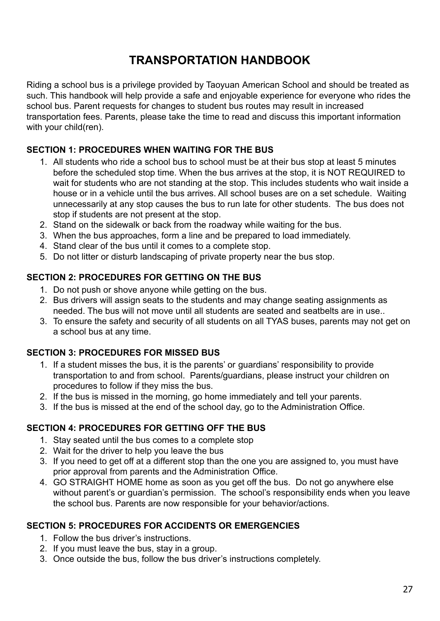# **TRANSPORTATION HANDBOOK**

Riding a school bus is a privilege provided by Taoyuan American School and should be treated as such. This handbook will help provide a safe and enjoyable experience for everyone who rides the school bus. Parent requests for changes to student bus routes may result in increased transportation fees. Parents, please take the time to read and discuss this important information with your child(ren).

#### **SECTION 1: PROCEDURES WHEN WAITING FOR THE BUS**

- 1. All students who ride a school bus to school must be at their bus stop at least 5 minutes before the scheduled stop time. When the bus arrives at the stop, it is NOT REQUIRED to wait for students who are not standing at the stop. This includes students who wait inside a house or in a vehicle until the bus arrives. All school buses are on a set schedule. Waiting unnecessarily at any stop causes the bus to run late for other students. The bus does not stop if students are not present at the stop.
- 2. Stand on the sidewalk or back from the roadway while waiting for the bus.
- 3. When the bus approaches, form a line and be prepared to load immediately.
- 4. Stand clear of the bus until it comes to a complete stop.
- 5. Do not litter or disturb landscaping of private property near the bus stop.

#### **SECTION 2: PROCEDURES FOR GETTING ON THE BUS**

- 1. Do not push or shove anyone while getting on the bus.
- 2. Bus drivers will assign seats to the students and may change seating assignments as needed. The bus will not move until all students are seated and seatbelts are in use..
- 3. To ensure the safety and security of all students on all TYAS buses, parents may not get on a school bus at any time.

#### **SECTION 3: PROCEDURES FOR MISSED BUS**

- 1. If a student misses the bus, it is the parents' or guardians' responsibility to provide transportation to and from school. Parents/guardians, please instruct your children on procedures to follow if they miss the bus.
- 2. If the bus is missed in the morning, go home immediately and tell your parents.
- 3. If the bus is missed at the end of the school day, go to the Administration Office.

#### **SECTION 4: PROCEDURES FOR GETTING OFF THE BUS**

- 1. Stay seated until the bus comes to a complete stop
- 2. Wait for the driver to help you leave the bus
- 3. If you need to get off at a different stop than the one you are assigned to, you must have prior approval from parents and the Administration Office.
- 4. GO STRAIGHT HOME home as soon as you get off the bus. Do not go anywhere else without parent's or guardian's permission. The school's responsibility ends when you leave the school bus. Parents are now responsible for your behavior/actions.

#### **SECTION 5: PROCEDURES FOR ACCIDENTS OR EMERGENCIES**

- 1. Follow the bus driver's instructions.
- 2. If you must leave the bus, stay in a group.
- 3. Once outside the bus, follow the bus driver's instructions completely.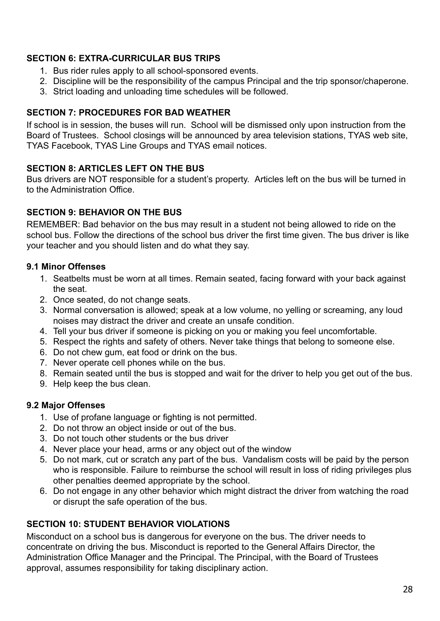#### **SECTION 6: EXTRA-CURRICULAR BUS TRIPS**

- 1. Bus rider rules apply to all school-sponsored events.
- 2. Discipline will be the responsibility of the campus Principal and the trip sponsor/chaperone.
- 3. Strict loading and unloading time schedules will be followed.

#### **SECTION 7: PROCEDURES FOR BAD WEATHER**

If school is in session, the buses will run. School will be dismissed only upon instruction from the Board of Trustees. School closings will be announced by area television stations, TYAS web site, TYAS Facebook, TYAS Line Groups and TYAS email notices.

#### **SECTION 8: ARTICLES LEFT ON THE BUS**

Bus drivers are NOT responsible for a student's property. Articles left on the bus will be turned in to the Administration Office.

#### **SECTION 9: BEHAVIOR ON THE BUS**

REMEMBER: Bad behavior on the bus may result in a student not being allowed to ride on the school bus. Follow the directions of the school bus driver the first time given. The bus driver is like your teacher and you should listen and do what they say.

#### **9.1 Minor Offenses**

- 1. Seatbelts must be worn at all times. Remain seated, facing forward with your back against the seat.
- 2. Once seated, do not change seats.
- 3. Normal conversation is allowed; speak at a low volume, no yelling or screaming, any loud noises may distract the driver and create an unsafe condition.
- 4. Tell your bus driver if someone is picking on you or making you feel uncomfortable.
- 5. Respect the rights and safety of others. Never take things that belong to someone else.
- 6. Do not chew gum, eat food or drink on the bus.
- 7. Never operate cell phones while on the bus.
- 8. Remain seated until the bus is stopped and wait for the driver to help you get out of the bus.
- 9. Help keep the bus clean.

#### **9.2 Major Offenses**

- 1. Use of profane language or fighting is not permitted.
- 2. Do not throw an object inside or out of the bus.
- 3. Do not touch other students or the bus driver
- 4. Never place your head, arms or any object out of the window
- 5. Do not mark, cut or scratch any part of the bus. Vandalism costs will be paid by the person who is responsible. Failure to reimburse the school will result in loss of riding privileges plus other penalties deemed appropriate by the school.
- 6. Do not engage in any other behavior which might distract the driver from watching the road or disrupt the safe operation of the bus.

#### **SECTION 10: STUDENT BEHAVIOR VIOLATIONS**

Misconduct on a school bus is dangerous for everyone on the bus. The driver needs to concentrate on driving the bus. Misconduct is reported to the General Affairs Director, the Administration Office Manager and the Principal. The Principal, with the Board of Trustees approval, assumes responsibility for taking disciplinary action.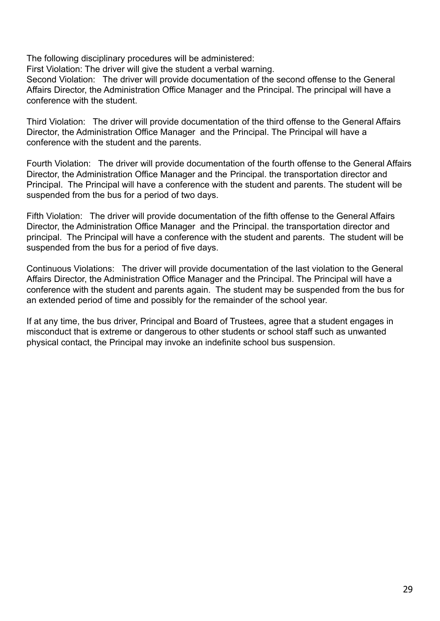The following disciplinary procedures will be administered:

First Violation: The driver will give the student a verbal warning.

Second Violation: The driver will provide documentation of the second offense to the General Affairs Director, the Administration Office Manager and the Principal. The principal will have a conference with the student.

Third Violation: The driver will provide documentation of the third offense to the General Affairs Director, the Administration Office Manager and the Principal. The Principal will have a conference with the student and the parents.

Fourth Violation: The driver will provide documentation of the fourth offense to the General Affairs Director, the Administration Office Manager and the Principal. the transportation director and Principal. The Principal will have a conference with the student and parents. The student will be suspended from the bus for a period of two days.

Fifth Violation: The driver will provide documentation of the fifth offense to the General Affairs Director, the Administration Office Manager and the Principal. the transportation director and principal. The Principal will have a conference with the student and parents. The student will be suspended from the bus for a period of five days.

Continuous Violations: The driver will provide documentation of the last violation to the General Affairs Director, the Administration Office Manager and the Principal. The Principal will have a conference with the student and parents again. The student may be suspended from the bus for an extended period of time and possibly for the remainder of the school year.

If at any time, the bus driver, Principal and Board of Trustees, agree that a student engages in misconduct that is extreme or dangerous to other students or school staff such as unwanted physical contact, the Principal may invoke an indefinite school bus suspension.